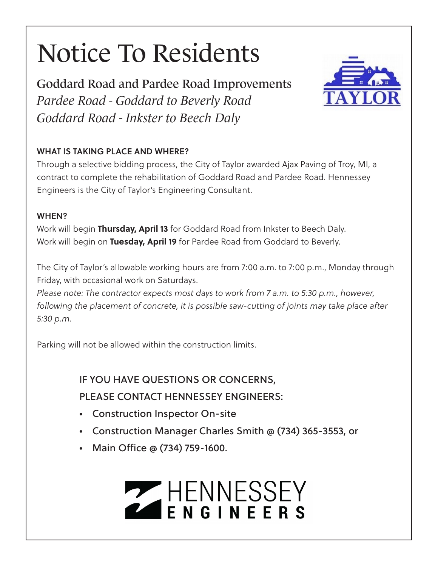# Notice To Residents

Goddard Road and Pardee Road Improvements *Pardee Road - Goddard to Beverly Road Goddard Road - Inkster to Beech Daly*

### WHAT IS TAKING PLACE AND WHERE?

Through a selective bidding process, the City of Taylor awarded Ajax Paving of Troy, MI, a contract to complete the rehabilitation of Goddard Road and Pardee Road. Hennessey Engineers is the City of Taylor's Engineering Consultant.

#### WHEN?

Work will begin **Thursday, April 13** for Goddard Road from Inkster to Beech Daly. Work will begin on **Tuesday, April 19** for Pardee Road from Goddard to Beverly.

The City of Taylor's allowable working hours are from 7:00 a.m. to 7:00 p.m., Monday through Friday, with occasional work on Saturdays.

*Please note: The contractor expects most days to work from 7 a.m. to 5:30 p.m., however, following the placement of concrete, it is possible saw-cutting of joints may take place after 5:30 p.m*.

Parking will not be allowed within the construction limits.

IF YOU HAVE QUESTIONS OR CONCERNS, PLEASE CONTACT HENNESSEY ENGINEERS:

- Construction Inspector On-site
- Construction Manager Charles Smith @ (734) 365-3553, or
- Main Office @ (734) 759-1600.

# ENNESSEY